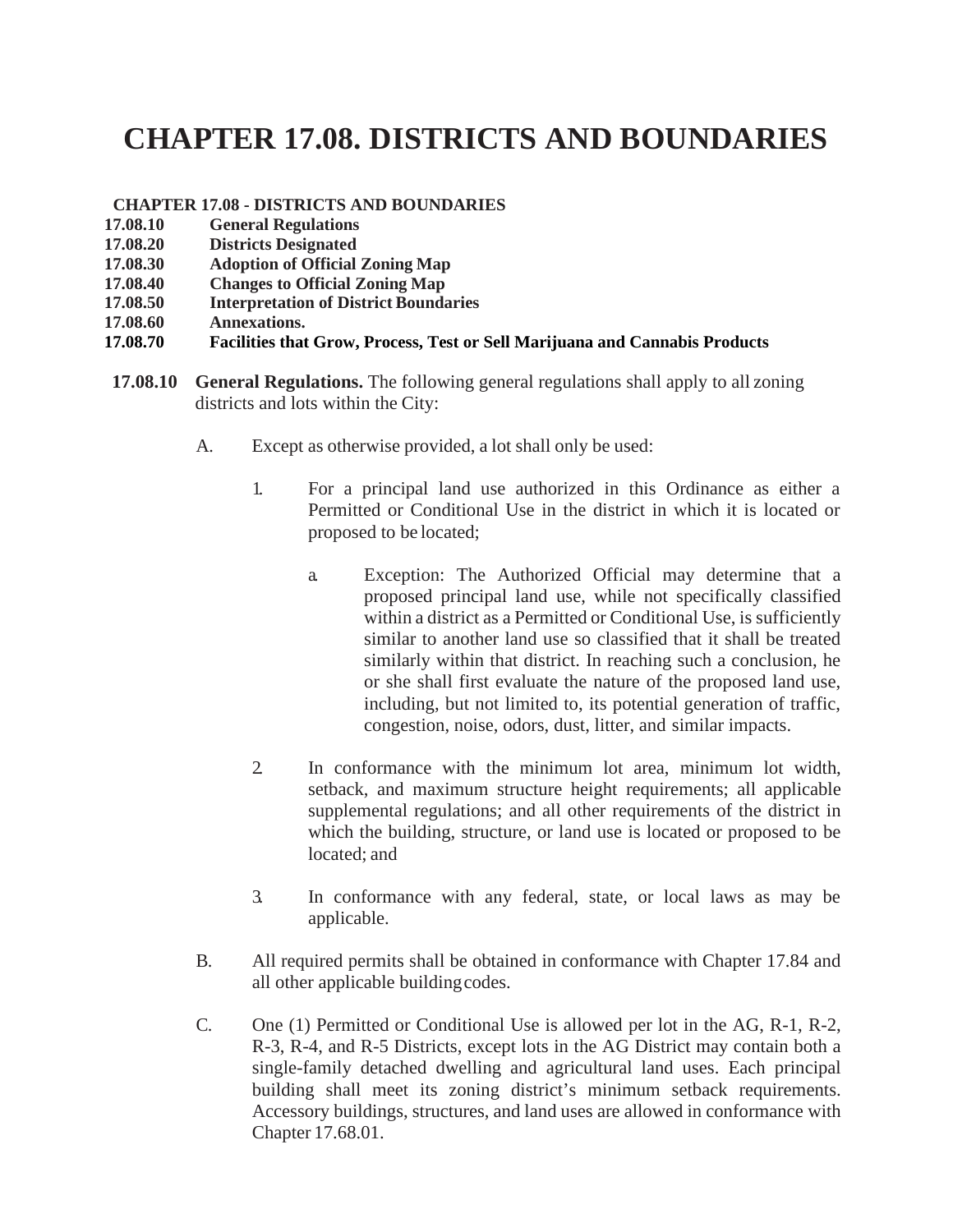## **CHAPTER 17.08. DISTRICTS AND BOUNDARIES**

## **CHAPTER 17.08 - DISTRICTS AND BOUNDARIES**

- **17.08.10 General Regulations**
- **17.08.20 Districts Designated**
- **17.08.30 Adoption of Official Zoning Map**
- **17.08.40 Changes to Official Zoning Map**
- **17.08.50 Interpretation of District Boundaries**
- **17.08.60 Annexations.**
- **17.08.70 Facilities that Grow, Process, Test or Sell Marijuana and Cannabis Products**
- **17.08.10 General Regulations.** The following general regulations shall apply to all zoning districts and lots within the City:
	- A. Except as otherwise provided, a lot shall only be used:
		- 1. For a principal land use authorized in this Ordinance as either a Permitted or Conditional Use in the district in which it is located or proposed to be located;
			- a. Exception: The Authorized Official may determine that a proposed principal land use, while not specifically classified within a district as a Permitted or Conditional Use, is sufficiently similar to another land use so classified that it shall be treated similarly within that district. In reaching such a conclusion, he or she shall first evaluate the nature of the proposed land use, including, but not limited to, its potential generation of traffic, congestion, noise, odors, dust, litter, and similar impacts.
		- 2. In conformance with the minimum lot area, minimum lot width, setback, and maximum structure height requirements; all applicable supplemental regulations; and all other requirements of the district in which the building, structure, or land use is located or proposed to be located; and
		- 3. In conformance with any federal, state, or local laws as may be applicable.
	- B. All required permits shall be obtained in conformance with Chapter 17.84 and all other applicable buildingcodes.
	- C. One (1) Permitted or Conditional Use is allowed per lot in the AG, R-1, R-2, R-3, R-4, and R-5 Districts, except lots in the AG District may contain both a single-family detached dwelling and agricultural land uses. Each principal building shall meet its zoning district's minimum setback requirements. Accessory buildings, structures, and land uses are allowed in conformance with Chapter 17.68.01.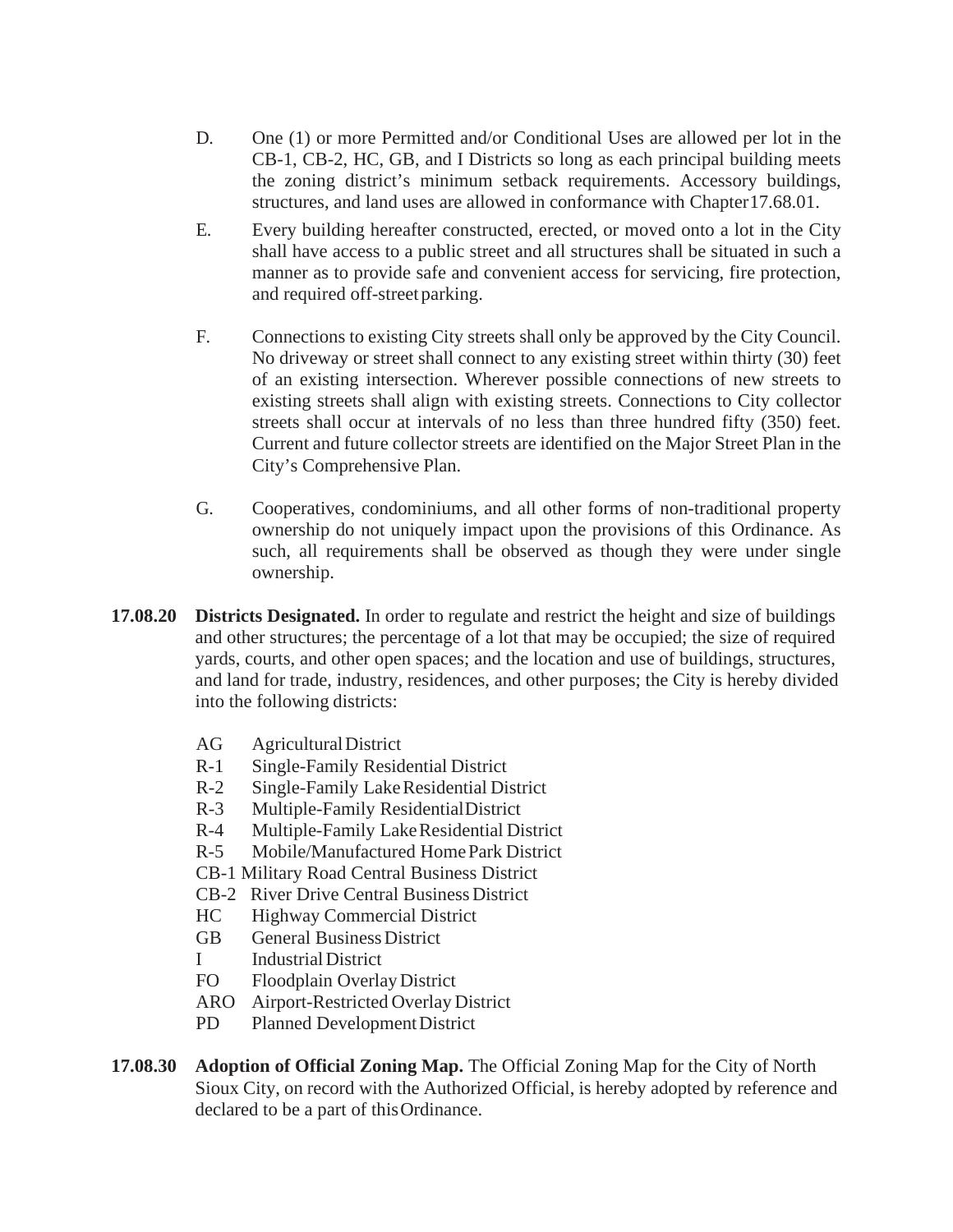- D. One (1) or more Permitted and/or Conditional Uses are allowed per lot in the CB-1, CB-2, HC, GB, and I Districts so long as each principal building meets the zoning district's minimum setback requirements. Accessory buildings, structures, and land uses are allowed in conformance with Chapter17.68.01.
- E. Every building hereafter constructed, erected, or moved onto a lot in the City shall have access to a public street and all structures shall be situated in such a manner as to provide safe and convenient access for servicing, fire protection, and required off-street parking.
- F. Connections to existing City streets shall only be approved by the City Council. No driveway or street shall connect to any existing street within thirty (30) feet of an existing intersection. Wherever possible connections of new streets to existing streets shall align with existing streets. Connections to City collector streets shall occur at intervals of no less than three hundred fifty (350) feet. Current and future collector streets are identified on the Major Street Plan in the City's Comprehensive Plan.
- G. Cooperatives, condominiums, and all other forms of non-traditional property ownership do not uniquely impact upon the provisions of this Ordinance. As such, all requirements shall be observed as though they were under single ownership.
- **17.08.20 Districts Designated.** In order to regulate and restrict the height and size of buildings and other structures; the percentage of a lot that may be occupied; the size of required yards, courts, and other open spaces; and the location and use of buildings, structures, and land for trade, industry, residences, and other purposes; the City is hereby divided into the following districts:
	- AG AgriculturalDistrict
	- R-1 Single-Family Residential District
	- R-2 Single-Family Lake Residential District
	- R-3 Multiple-Family ResidentialDistrict
	- R-4 Multiple-Family LakeResidential District
	- R-5 Mobile/Manufactured HomePark District
	- CB-1 Military Road Central Business District
	- CB-2 River Drive Central Business District
	- HC Highway Commercial District
	- GB General Business District
	- I IndustrialDistrict
	- FO Floodplain Overlay District
	- ARO Airport-Restricted Overlay District
	- PD Planned Development District
- **17.08.30 Adoption of Official Zoning Map.** The Official Zoning Map for the City of North Sioux City, on record with the Authorized Official, is hereby adopted by reference and declared to be a part of thisOrdinance.